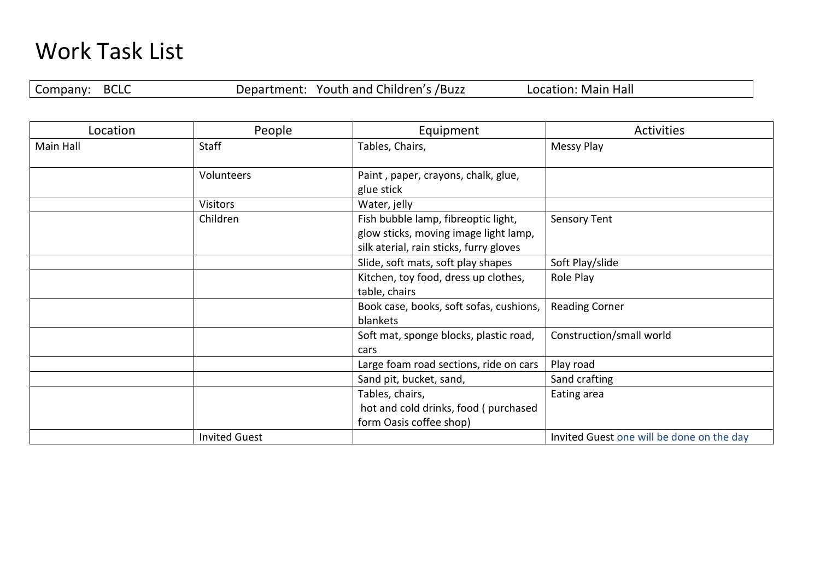## Work Task List

Company: BCLC Department: Youth and Children's /Buzz Location: Main Hall

| Location  | People               | Equipment                                                                                                               | <b>Activities</b>                         |
|-----------|----------------------|-------------------------------------------------------------------------------------------------------------------------|-------------------------------------------|
| Main Hall | <b>Staff</b>         | Tables, Chairs,                                                                                                         | Messy Play                                |
|           | Volunteers           | Paint, paper, crayons, chalk, glue,<br>glue stick                                                                       |                                           |
|           | <b>Visitors</b>      | Water, jelly                                                                                                            |                                           |
|           | Children             | Fish bubble lamp, fibreoptic light,<br>glow sticks, moving image light lamp,<br>silk aterial, rain sticks, furry gloves | Sensory Tent                              |
|           |                      | Slide, soft mats, soft play shapes                                                                                      | Soft Play/slide                           |
|           |                      | Kitchen, toy food, dress up clothes,<br>table, chairs                                                                   | Role Play                                 |
|           |                      | Book case, books, soft sofas, cushions,<br>blankets                                                                     | <b>Reading Corner</b>                     |
|           |                      | Soft mat, sponge blocks, plastic road,<br>cars                                                                          | Construction/small world                  |
|           |                      | Large foam road sections, ride on cars                                                                                  | Play road                                 |
|           |                      | Sand pit, bucket, sand,                                                                                                 | Sand crafting                             |
|           |                      | Tables, chairs,<br>hot and cold drinks, food (purchased<br>form Oasis coffee shop)                                      | Eating area                               |
|           | <b>Invited Guest</b> |                                                                                                                         | Invited Guest one will be done on the day |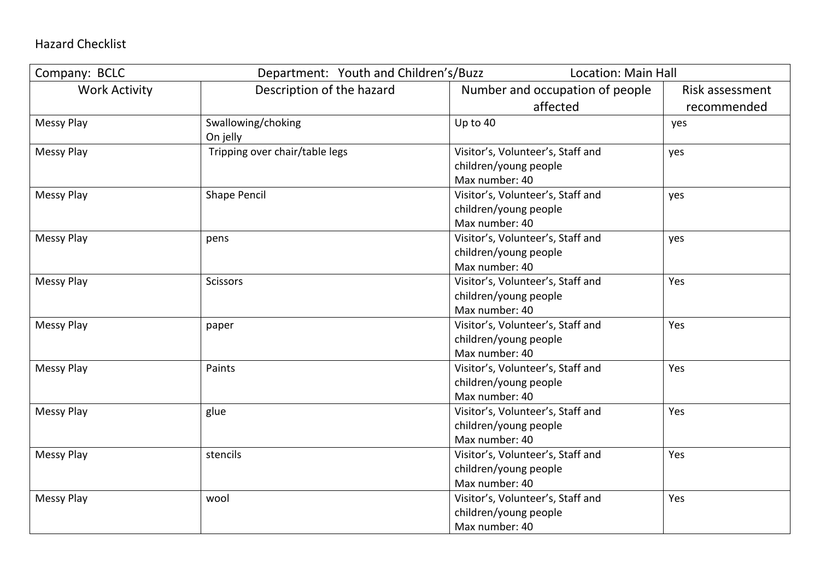## Hazard Checklist

| Company: BCLC        | Department: Youth and Children's/Buzz | <b>Location: Main Hall</b>        |                 |
|----------------------|---------------------------------------|-----------------------------------|-----------------|
| <b>Work Activity</b> | Description of the hazard             | Number and occupation of people   | Risk assessment |
|                      |                                       | affected                          | recommended     |
| <b>Messy Play</b>    | Swallowing/choking                    | Up to 40                          | yes             |
|                      | On jelly                              |                                   |                 |
| <b>Messy Play</b>    | Tripping over chair/table legs        | Visitor's, Volunteer's, Staff and | yes             |
|                      |                                       | children/young people             |                 |
|                      |                                       | Max number: 40                    |                 |
| <b>Messy Play</b>    | <b>Shape Pencil</b>                   | Visitor's, Volunteer's, Staff and | yes             |
|                      |                                       | children/young people             |                 |
|                      |                                       | Max number: 40                    |                 |
| <b>Messy Play</b>    | pens                                  | Visitor's, Volunteer's, Staff and | yes             |
|                      |                                       | children/young people             |                 |
|                      |                                       | Max number: 40                    |                 |
| <b>Messy Play</b>    | Scissors                              | Visitor's, Volunteer's, Staff and | Yes             |
|                      |                                       | children/young people             |                 |
|                      |                                       | Max number: 40                    |                 |
| <b>Messy Play</b>    | paper                                 | Visitor's, Volunteer's, Staff and | Yes             |
|                      |                                       | children/young people             |                 |
|                      |                                       | Max number: 40                    |                 |
| <b>Messy Play</b>    | Paints                                | Visitor's, Volunteer's, Staff and | Yes             |
|                      |                                       | children/young people             |                 |
|                      |                                       | Max number: 40                    |                 |
| <b>Messy Play</b>    | glue                                  | Visitor's, Volunteer's, Staff and | Yes             |
|                      |                                       | children/young people             |                 |
|                      |                                       | Max number: 40                    |                 |
| <b>Messy Play</b>    | stencils                              | Visitor's, Volunteer's, Staff and | Yes             |
|                      |                                       | children/young people             |                 |
|                      |                                       | Max number: 40                    |                 |
| Messy Play           | wool                                  | Visitor's, Volunteer's, Staff and | Yes             |
|                      |                                       | children/young people             |                 |
|                      |                                       | Max number: 40                    |                 |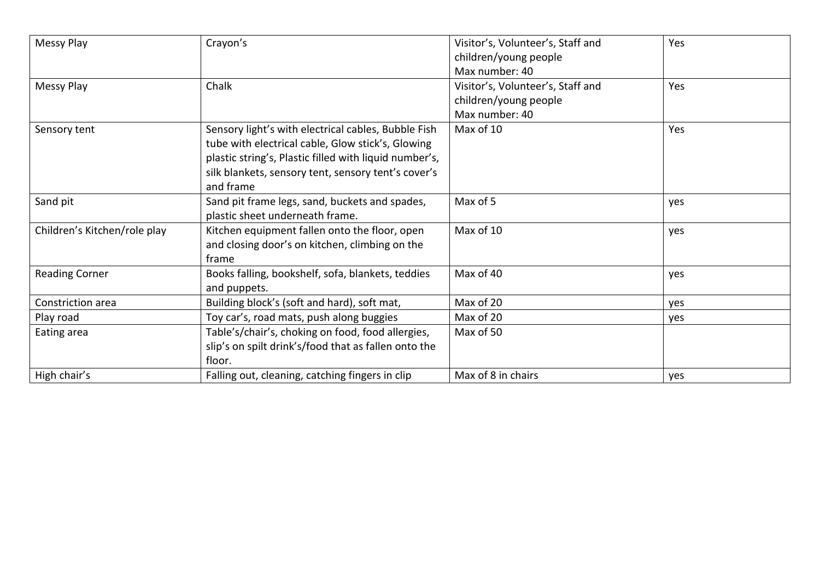| Messy Play                   | Crayon's                                               | Visitor's, Volunteer's, Staff and | Yes |
|------------------------------|--------------------------------------------------------|-----------------------------------|-----|
|                              |                                                        | children/young people             |     |
|                              |                                                        | Max number: 40                    |     |
| Messy Play                   | Chalk                                                  | Visitor's, Volunteer's, Staff and | Yes |
|                              |                                                        | children/young people             |     |
|                              |                                                        | Max number: 40                    |     |
| Sensory tent                 | Sensory light's with electrical cables, Bubble Fish    | Max of 10                         | Yes |
|                              | tube with electrical cable, Glow stick's, Glowing      |                                   |     |
|                              | plastic string's, Plastic filled with liquid number's, |                                   |     |
|                              | silk blankets, sensory tent, sensory tent's cover's    |                                   |     |
|                              | and frame                                              |                                   |     |
| Sand pit                     | Sand pit frame legs, sand, buckets and spades,         | Max of 5                          | yes |
|                              | plastic sheet underneath frame.                        |                                   |     |
| Children's Kitchen/role play | Kitchen equipment fallen onto the floor, open          | Max of 10                         | yes |
|                              | and closing door's on kitchen, climbing on the         |                                   |     |
|                              | frame                                                  |                                   |     |
| <b>Reading Corner</b>        | Books falling, bookshelf, sofa, blankets, teddies      | Max of 40                         | yes |
|                              | and puppets.                                           |                                   |     |
| Constriction area            | Building block's (soft and hard), soft mat,            | Max of 20                         | yes |
| Play road                    | Toy car's, road mats, push along buggies               | Max of 20                         | yes |
| Eating area                  | Table's/chair's, choking on food, food allergies,      | Max of 50                         |     |
|                              | slip's on spilt drink's/food that as fallen onto the   |                                   |     |
|                              | floor.                                                 |                                   |     |
| High chair's                 | Falling out, cleaning, catching fingers in clip        | Max of 8 in chairs                | yes |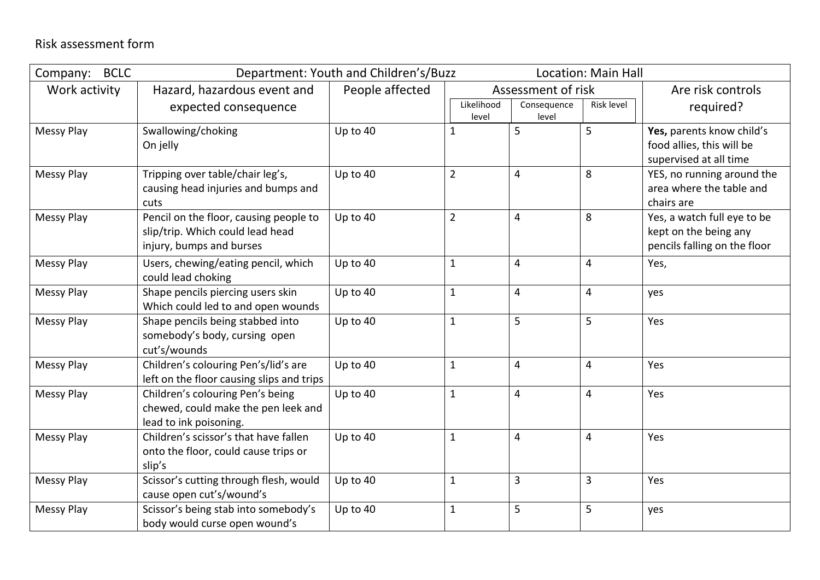| <b>BCLC</b><br>Company: |                                                                                                        | Department: Youth and Children's/Buzz |                     |                      | <b>Location: Main Hall</b> |                                                                                      |
|-------------------------|--------------------------------------------------------------------------------------------------------|---------------------------------------|---------------------|----------------------|----------------------------|--------------------------------------------------------------------------------------|
| Work activity           | Hazard, hazardous event and                                                                            | People affected                       |                     | Assessment of risk   |                            | Are risk controls                                                                    |
|                         | expected consequence                                                                                   |                                       | Likelihood<br>level | Consequence<br>level | Risk level                 | required?                                                                            |
| <b>Messy Play</b>       | Swallowing/choking<br>On jelly                                                                         | Up to 40                              | $\mathbf{1}$        | 5                    | 5                          | Yes, parents know child's<br>food allies, this will be<br>supervised at all time     |
| <b>Messy Play</b>       | Tripping over table/chair leg's,<br>causing head injuries and bumps and<br>cuts                        | Up to 40                              | $\overline{2}$      | 4                    | 8                          | YES, no running around the<br>area where the table and<br>chairs are                 |
| <b>Messy Play</b>       | Pencil on the floor, causing people to<br>slip/trip. Which could lead head<br>injury, bumps and burses | Up to 40                              | $\overline{2}$      | 4                    | 8                          | Yes, a watch full eye to be<br>kept on the being any<br>pencils falling on the floor |
| <b>Messy Play</b>       | Users, chewing/eating pencil, which<br>could lead choking                                              | Up to 40                              | $\mathbf{1}$        | 4                    | 4                          | Yes,                                                                                 |
| <b>Messy Play</b>       | Shape pencils piercing users skin<br>Which could led to and open wounds                                | Up to 40                              | $\mathbf{1}$        | 4                    | 4                          | yes                                                                                  |
| <b>Messy Play</b>       | Shape pencils being stabbed into<br>somebody's body, cursing open<br>cut's/wounds                      | Up to 40                              | $\mathbf{1}$        | 5                    | 5                          | Yes                                                                                  |
| <b>Messy Play</b>       | Children's colouring Pen's/lid's are<br>left on the floor causing slips and trips                      | Up to 40                              | $\mathbf{1}$        | 4                    | 4                          | Yes                                                                                  |
| <b>Messy Play</b>       | Children's colouring Pen's being<br>chewed, could make the pen leek and<br>lead to ink poisoning.      | Up to 40                              | $\mathbf{1}$        | 4                    | $\overline{4}$             | Yes                                                                                  |
| <b>Messy Play</b>       | Children's scissor's that have fallen<br>onto the floor, could cause trips or<br>slip's                | Up to 40                              | $\mathbf{1}$        | $\overline{4}$       | $\overline{4}$             | Yes                                                                                  |
| <b>Messy Play</b>       | Scissor's cutting through flesh, would<br>cause open cut's/wound's                                     | Up to 40                              | $\mathbf{1}$        | 3                    | 3                          | Yes                                                                                  |
| <b>Messy Play</b>       | Scissor's being stab into somebody's<br>body would curse open wound's                                  | Up to 40                              | $\mathbf{1}$        | 5                    | 5                          | yes                                                                                  |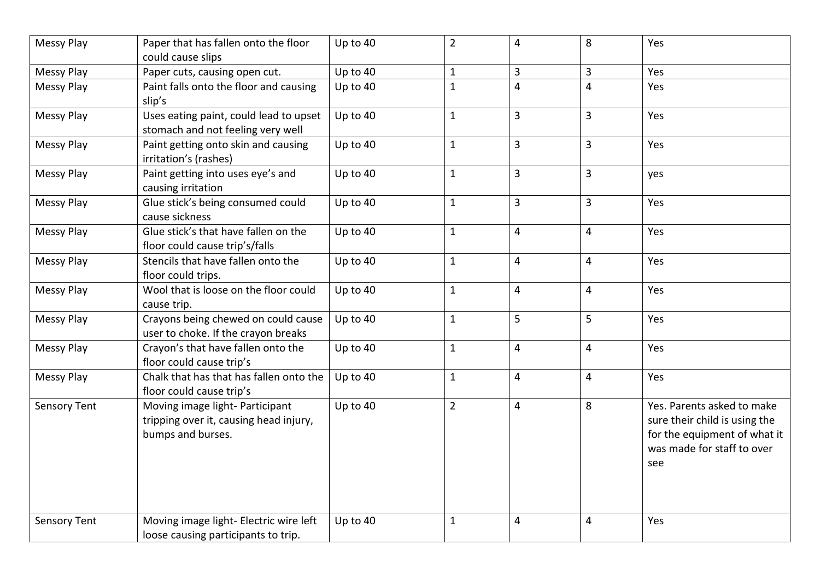| <b>Messy Play</b>   | Paper that has fallen onto the floor                                                           | Up to 40   | $\overline{2}$ | 4                       | 8              | Yes                                                                                                                              |
|---------------------|------------------------------------------------------------------------------------------------|------------|----------------|-------------------------|----------------|----------------------------------------------------------------------------------------------------------------------------------|
| <b>Messy Play</b>   | could cause slips<br>Paper cuts, causing open cut.                                             | Up to 40   | 1              | 3                       | 3              | Yes                                                                                                                              |
| <b>Messy Play</b>   | Paint falls onto the floor and causing<br>slip's                                               | Up to $40$ | $\mathbf{1}$   | 4                       | $\overline{4}$ | Yes                                                                                                                              |
| <b>Messy Play</b>   | Uses eating paint, could lead to upset<br>stomach and not feeling very well                    | Up to $40$ | $\mathbf{1}$   | 3                       | 3              | Yes                                                                                                                              |
| <b>Messy Play</b>   | Paint getting onto skin and causing<br>irritation's (rashes)                                   | Up to $40$ | $\mathbf{1}$   | 3                       | 3              | Yes                                                                                                                              |
| <b>Messy Play</b>   | Paint getting into uses eye's and<br>causing irritation                                        | Up to 40   | $\mathbf{1}$   | 3                       | 3              | yes                                                                                                                              |
| <b>Messy Play</b>   | Glue stick's being consumed could<br>cause sickness                                            | Up to 40   | $\mathbf{1}$   | 3                       | $\overline{3}$ | Yes                                                                                                                              |
| Messy Play          | Glue stick's that have fallen on the<br>floor could cause trip's/falls                         | Up to 40   | $\mathbf{1}$   | 4                       | 4              | Yes                                                                                                                              |
| <b>Messy Play</b>   | Stencils that have fallen onto the<br>floor could trips.                                       | Up to 40   | $\mathbf{1}$   | 4                       | 4              | Yes                                                                                                                              |
| <b>Messy Play</b>   | Wool that is loose on the floor could<br>cause trip.                                           | Up to 40   | $\mathbf{1}$   | 4                       | 4              | Yes                                                                                                                              |
| <b>Messy Play</b>   | Crayons being chewed on could cause<br>user to choke. If the crayon breaks                     | Up to $40$ | $\mathbf{1}$   | 5                       | 5              | Yes                                                                                                                              |
| <b>Messy Play</b>   | Crayon's that have fallen onto the<br>floor could cause trip's                                 | Up to 40   | $\mathbf{1}$   | 4                       | 4              | Yes                                                                                                                              |
| <b>Messy Play</b>   | Chalk that has that has fallen onto the<br>floor could cause trip's                            | Up to 40   | $\mathbf{1}$   | 4                       | 4              | Yes                                                                                                                              |
| <b>Sensory Tent</b> | Moving image light- Participant<br>tripping over it, causing head injury,<br>bumps and burses. | Up to 40   | $\overline{2}$ | $\overline{\mathbf{4}}$ | 8              | Yes. Parents asked to make<br>sure their child is using the<br>for the equipment of what it<br>was made for staff to over<br>see |
| <b>Sensory Tent</b> | Moving image light- Electric wire left<br>loose causing participants to trip.                  | Up to 40   | $\mathbf{1}$   | 4                       | 4              | Yes                                                                                                                              |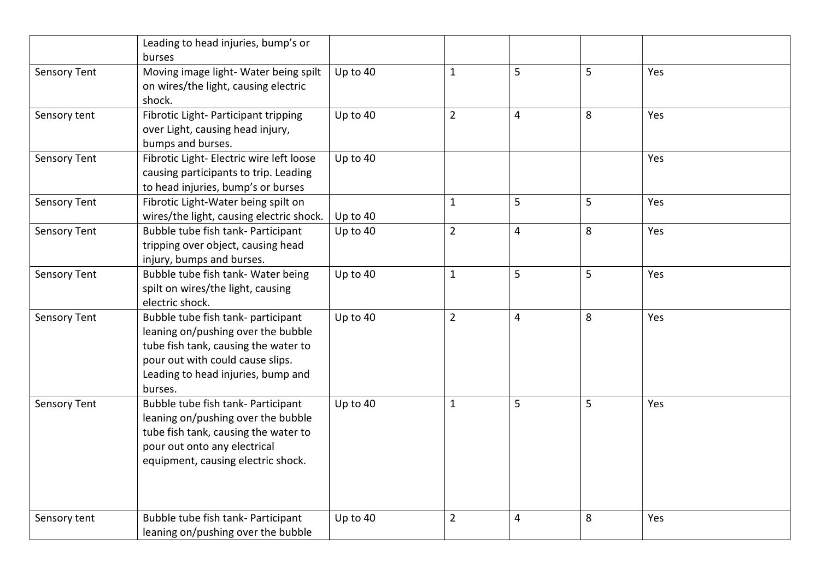|                     | Leading to head injuries, bump's or      |          |                |                |   |     |
|---------------------|------------------------------------------|----------|----------------|----------------|---|-----|
|                     | burses                                   |          |                |                |   |     |
| <b>Sensory Tent</b> | Moving image light- Water being spilt    | Up to 40 | $\mathbf{1}$   | 5              | 5 | Yes |
|                     | on wires/the light, causing electric     |          |                |                |   |     |
|                     | shock.                                   |          |                |                |   |     |
| Sensory tent        | Fibrotic Light- Participant tripping     | Up to 40 | $\overline{2}$ | $\overline{4}$ | 8 | Yes |
|                     | over Light, causing head injury,         |          |                |                |   |     |
|                     | bumps and burses.                        |          |                |                |   |     |
| <b>Sensory Tent</b> | Fibrotic Light- Electric wire left loose | Up to 40 |                |                |   | Yes |
|                     | causing participants to trip. Leading    |          |                |                |   |     |
|                     | to head injuries, bump's or burses       |          |                |                |   |     |
| Sensory Tent        | Fibrotic Light-Water being spilt on      |          | $\mathbf{1}$   | 5              | 5 | Yes |
|                     | wires/the light, causing electric shock. | Up to 40 |                |                |   |     |
| <b>Sensory Tent</b> | Bubble tube fish tank- Participant       | Up to 40 | $\overline{2}$ | 4              | 8 | Yes |
|                     | tripping over object, causing head       |          |                |                |   |     |
|                     | injury, bumps and burses.                |          |                |                |   |     |
| <b>Sensory Tent</b> | Bubble tube fish tank- Water being       | Up to 40 | $\mathbf{1}$   | 5              | 5 | Yes |
|                     | spilt on wires/the light, causing        |          |                |                |   |     |
|                     | electric shock.                          |          |                |                |   |     |
| <b>Sensory Tent</b> | Bubble tube fish tank- participant       | Up to 40 | $\overline{2}$ | $\overline{4}$ | 8 | Yes |
|                     | leaning on/pushing over the bubble       |          |                |                |   |     |
|                     | tube fish tank, causing the water to     |          |                |                |   |     |
|                     | pour out with could cause slips.         |          |                |                |   |     |
|                     | Leading to head injuries, bump and       |          |                |                |   |     |
|                     | burses.                                  |          |                |                |   |     |
| <b>Sensory Tent</b> | Bubble tube fish tank- Participant       | Up to 40 | $\mathbf{1}$   | 5              | 5 | Yes |
|                     | leaning on/pushing over the bubble       |          |                |                |   |     |
|                     | tube fish tank, causing the water to     |          |                |                |   |     |
|                     | pour out onto any electrical             |          |                |                |   |     |
|                     | equipment, causing electric shock.       |          |                |                |   |     |
|                     |                                          |          |                |                |   |     |
|                     |                                          |          |                |                |   |     |
| Sensory tent        | Bubble tube fish tank- Participant       | Up to 40 | $\overline{2}$ | 4              | 8 | Yes |
|                     | leaning on/pushing over the bubble       |          |                |                |   |     |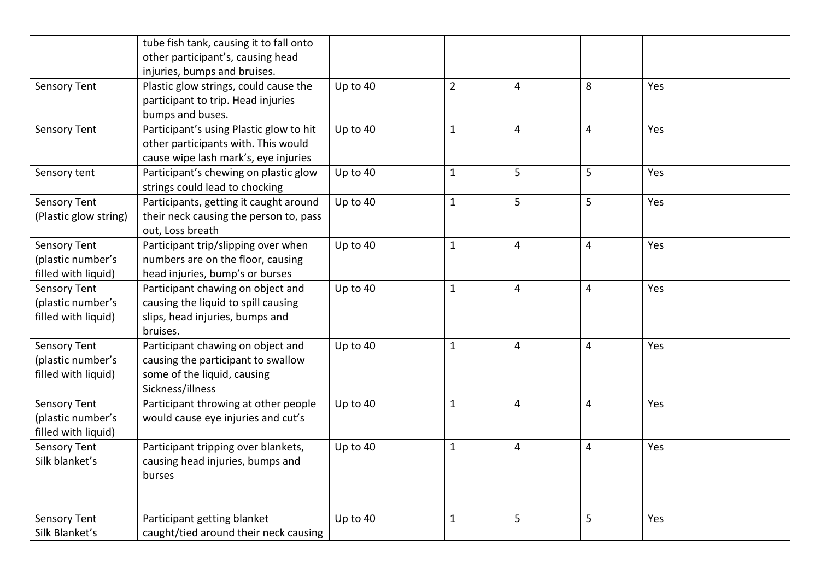|                                                                 | tube fish tank, causing it to fall onto<br>other participant's, causing head                                                               |          |                |   |                         |     |
|-----------------------------------------------------------------|--------------------------------------------------------------------------------------------------------------------------------------------|----------|----------------|---|-------------------------|-----|
| <b>Sensory Tent</b>                                             | injuries, bumps and bruises.<br>Plastic glow strings, could cause the<br>participant to trip. Head injuries                                | Up to 40 | $\overline{2}$ | 4 | 8                       | Yes |
| <b>Sensory Tent</b>                                             | bumps and buses.<br>Participant's using Plastic glow to hit<br>other participants with. This would<br>cause wipe lash mark's, eye injuries | Up to 40 | $\mathbf{1}$   | 4 | $\overline{4}$          | Yes |
| Sensory tent                                                    | Participant's chewing on plastic glow<br>strings could lead to chocking                                                                    | Up to 40 | $\mathbf{1}$   | 5 | 5                       | Yes |
| <b>Sensory Tent</b><br>(Plastic glow string)                    | Participants, getting it caught around<br>their neck causing the person to, pass<br>out, Loss breath                                       | Up to 40 | $\mathbf{1}$   | 5 | 5                       | Yes |
| <b>Sensory Tent</b><br>(plastic number's<br>filled with liquid) | Participant trip/slipping over when<br>numbers are on the floor, causing<br>head injuries, bump's or burses                                | Up to 40 | $\mathbf{1}$   | 4 | 4                       | Yes |
| <b>Sensory Tent</b><br>(plastic number's<br>filled with liquid) | Participant chawing on object and<br>causing the liquid to spill causing<br>slips, head injuries, bumps and<br>bruises.                    | Up to 40 | $\mathbf{1}$   | 4 | 4                       | Yes |
| <b>Sensory Tent</b><br>(plastic number's<br>filled with liquid) | Participant chawing on object and<br>causing the participant to swallow<br>some of the liquid, causing<br>Sickness/illness                 | Up to 40 | $\mathbf{1}$   | 4 | 4                       | Yes |
| Sensory Tent<br>(plastic number's<br>filled with liquid)        | Participant throwing at other people<br>would cause eye injuries and cut's                                                                 | Up to 40 | $\mathbf{1}$   | 4 | $\overline{\mathbf{4}}$ | Yes |
| <b>Sensory Tent</b><br>Silk blanket's                           | Participant tripping over blankets,<br>causing head injuries, bumps and<br>burses                                                          | Up to 40 | $\mathbf{1}$   | 4 | 4                       | Yes |
| <b>Sensory Tent</b><br>Silk Blanket's                           | Participant getting blanket<br>caught/tied around their neck causing                                                                       | Up to 40 | $\mathbf{1}$   | 5 | 5                       | Yes |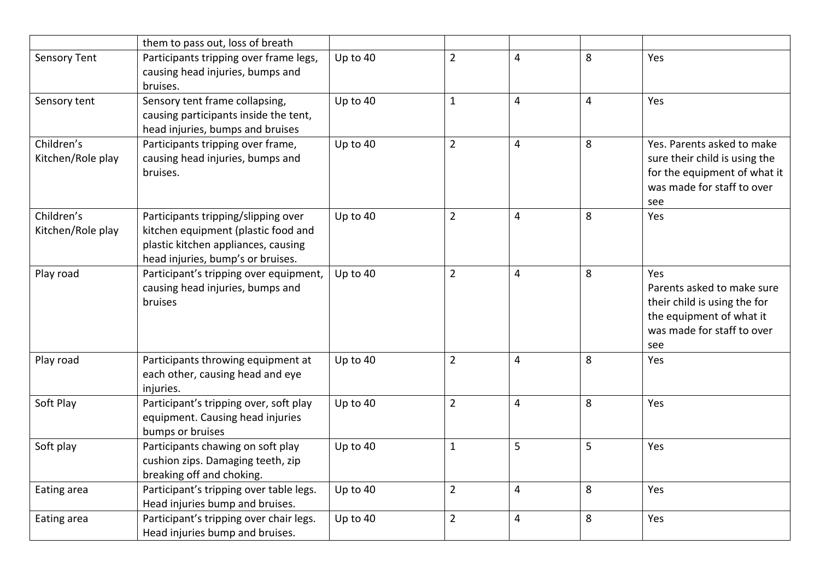|                     | them to pass out, loss of breath        |            |                |                |                |                               |
|---------------------|-----------------------------------------|------------|----------------|----------------|----------------|-------------------------------|
| <b>Sensory Tent</b> | Participants tripping over frame legs,  | Up to 40   | $\overline{2}$ | 4              | 8              | Yes                           |
|                     | causing head injuries, bumps and        |            |                |                |                |                               |
|                     | bruises.                                |            |                |                |                |                               |
| Sensory tent        | Sensory tent frame collapsing,          | Up to $40$ | $\mathbf{1}$   | $\overline{4}$ | $\overline{4}$ | Yes                           |
|                     | causing participants inside the tent,   |            |                |                |                |                               |
|                     | head injuries, bumps and bruises        |            |                |                |                |                               |
| Children's          | Participants tripping over frame,       | Up to 40   | $\overline{2}$ | $\overline{4}$ | 8              | Yes. Parents asked to make    |
| Kitchen/Role play   | causing head injuries, bumps and        |            |                |                |                | sure their child is using the |
|                     | bruises.                                |            |                |                |                | for the equipment of what it  |
|                     |                                         |            |                |                |                | was made for staff to over    |
|                     |                                         |            |                |                |                | see                           |
| Children's          | Participants tripping/slipping over     | Up to 40   | $\overline{2}$ | $\overline{4}$ | 8              | Yes                           |
| Kitchen/Role play   | kitchen equipment (plastic food and     |            |                |                |                |                               |
|                     | plastic kitchen appliances, causing     |            |                |                |                |                               |
|                     | head injuries, bump's or bruises.       |            |                |                |                |                               |
| Play road           | Participant's tripping over equipment,  | Up to 40   | $\overline{2}$ | $\overline{4}$ | 8              | Yes                           |
|                     | causing head injuries, bumps and        |            |                |                |                | Parents asked to make sure    |
|                     | bruises                                 |            |                |                |                | their child is using the for  |
|                     |                                         |            |                |                |                | the equipment of what it      |
|                     |                                         |            |                |                |                | was made for staff to over    |
|                     |                                         |            |                |                |                | see                           |
| Play road           | Participants throwing equipment at      | Up to 40   | $\overline{2}$ | 4              | 8              | Yes                           |
|                     | each other, causing head and eye        |            |                |                |                |                               |
|                     | injuries.                               |            |                |                |                |                               |
| Soft Play           | Participant's tripping over, soft play  | Up to 40   | $\overline{2}$ | 4              | 8              | Yes                           |
|                     | equipment. Causing head injuries        |            |                |                |                |                               |
|                     | bumps or bruises                        |            |                |                |                |                               |
| Soft play           | Participants chawing on soft play       | Up to 40   | $\mathbf{1}$   | 5              | 5              | Yes                           |
|                     | cushion zips. Damaging teeth, zip       |            |                |                |                |                               |
|                     | breaking off and choking.               |            |                |                |                |                               |
| Eating area         | Participant's tripping over table legs. | Up to 40   | $\overline{2}$ | $\overline{4}$ | 8              | Yes                           |
|                     | Head injuries bump and bruises.         |            |                |                |                |                               |
| Eating area         | Participant's tripping over chair legs. | Up to 40   | $\overline{2}$ | 4              | 8              | Yes                           |
|                     | Head injuries bump and bruises.         |            |                |                |                |                               |